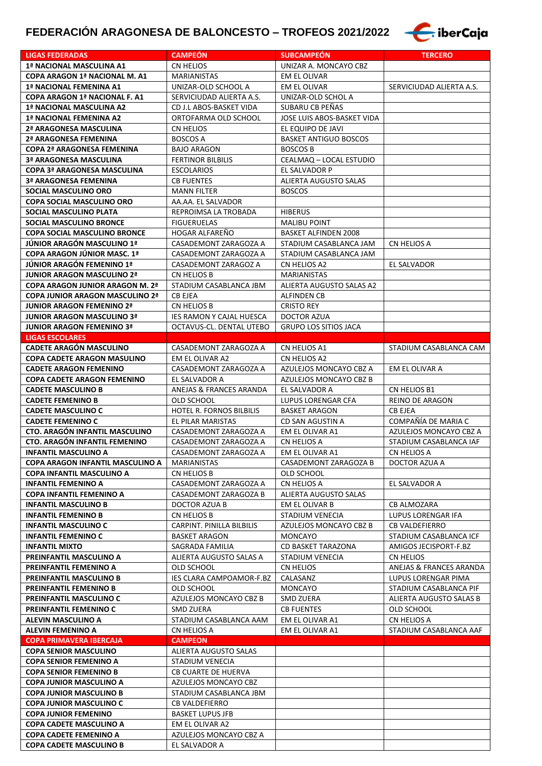## **FEDERACIÓN ARAGONESA DE BALONCESTO – TROFEOS 2021/2022 Les iberCaja**



| <b>LIGAS FEDERADAS</b>                 | <b>CAMPEON</b>                  | <b>SUBCAMPEON</b>            | <b>TERCERO</b>           |
|----------------------------------------|---------------------------------|------------------------------|--------------------------|
|                                        |                                 |                              |                          |
| 1ª NACIONAL MASCULINA A1               | <b>CN HELIOS</b>                | UNIZAR A. MONCAYO CBZ        |                          |
| <b>COPA ARAGON 1ª NACIONAL M. A1</b>   | <b>MARIANISTAS</b>              | EM EL OLIVAR                 |                          |
| 1ª NACIONAL FEMENINA A1                | UNIZAR-OLD SCHOOL A             | EM EL OLIVAR                 | SERVICIUDAD ALIERTA A.S. |
| <b>COPA ARAGON 1ª NACIONAL F. A1</b>   | SERVICIUDAD ALIERTA A.S.        | UNIZAR-OLD SCHOL A           |                          |
| 1ª NACIONAL MASCULINA A2               | CD J.L ABOS-BASKET VIDA         | SUBARU CB PEÑAS              |                          |
| 1ª NACIONAL FEMENINA A2                | ORTOFARMA OLD SCHOOL            | JOSE LUIS ABOS-BASKET VIDA   |                          |
| 2ª ARAGONESA MASCULINA                 | <b>CN HELIOS</b>                | EL EQUIPO DE JAVI            |                          |
| 2ª ARAGONESA FEMENINA                  | BOSCOS A                        | <b>BASKET ANTIGUO BOSCOS</b> |                          |
| <b>COPA 2ª ARAGONESA FEMENINA</b>      | <b>BAJO ARAGON</b>              | <b>BOSCOS B</b>              |                          |
| 3ª ARAGONESA MASCULINA                 | <b>FERTINOR BILBILIS</b>        | CEALMAQ - LOCAL ESTUDIO      |                          |
| <b>COPA 3ª ARAGONESA MASCULINA</b>     | <b>ESCOLARIOS</b>               | EL SALVADOR P                |                          |
| 3ª ARAGONESA FEMENINA                  | <b>CB FUENTES</b>               | ALIERTA AUGUSTO SALAS        |                          |
|                                        |                                 |                              |                          |
| SOCIAL MASCULINO ORO                   | <b>MANN FILTER</b>              | <b>BOSCOS</b>                |                          |
| <b>COPA SOCIAL MASCULINO ORO</b>       | AA.AA. EL SALVADOR              |                              |                          |
| SOCIAL MASCULINO PLATA                 | REPROIMSA LA TROBADA            | <b>HIBERUS</b>               |                          |
| <b>SOCIAL MASCULINO BRONCE</b>         | <b>FIGUERUELAS</b>              | <b>MALIBU POINT</b>          |                          |
| <b>COPA SOCIAL MASCULINO BRONCE</b>    | <b>HOGAR ALFARENO</b>           | <b>BASKET ALFINDEN 2008</b>  |                          |
| <b>JÚNIOR ARAGÓN MASCULINO 1ª</b>      | CASADEMONT ZARAGOZA A           | STADIUM CASABLANCA JAM       | CN HELIOS A              |
| <b>COPA ARAGON JÚNIOR MASC. 1ª</b>     | CASADEMONT ZARAGOZA A           | STADIUM CASABLANCA JAM       |                          |
| <b>JÚNIOR ARAGÓN FEMENINO 1ª</b>       | CASADEMONT ZARAGOZ A            | CN HELIOS A2                 | EL SALVADOR              |
| <b>JUNIOR ARAGON MASCULINO 2ª</b>      | CN HELIOS B                     | <b>MARIANISTAS</b>           |                          |
| <b>COPA ARAGON JUNIOR ARAGON M. 2ª</b> | STADIUM CASABLANCA JBM          | ALIERTA AUGUSTO SALAS A2     |                          |
| <b>COPA JUNIOR ARAGON MASCULINO 2ª</b> | CB EJEA                         | <b>ALFINDEN CB</b>           |                          |
| <b>JUNIOR ARAGON FEMENINO 2ª</b>       | CN HELIOS B                     | <b>CRISTO REY</b>            |                          |
| <b>JUNIOR ARAGON MASCULINO 3ª</b>      | IES RAMON Y CAJAL HUESCA        | DOCTOR AZUA                  |                          |
|                                        |                                 |                              |                          |
| <b>JUNIOR ARAGON FEMENINO 3ª</b>       | OCTAVUS-CL. DENTAL UTEBO        | <b>GRUPO LOS SITIOS JACA</b> |                          |
| <b>LIGAS ESCOLARES</b>                 |                                 |                              |                          |
| CADETE ARAGÓN MASCULINO                | CASADEMONT ZARAGOZA A           | CN HELIOS A1                 | STADIUM CASABLANCA CAM   |
| <b>COPA CADETE ARAGON MASULINO</b>     | EM EL OLIVAR A2                 | CN HELIOS A2                 |                          |
| <b>CADETE ARAGON FEMENINO</b>          | CASADEMONT ZARAGOZA A           | AZULEJOS MONCAYO CBZ A       | EM EL OLIVAR A           |
| <b>COPA CADETE ARAGON FEMENINO</b>     | EL SALVADOR A                   | AZULEJOS MONCAYO CBZ B       |                          |
| <b>CADETE MASCULINO B</b>              | ANEJAS & FRANCES ARANDA         | EL SALVADOR A                | CN HELIOS B1             |
| <b>CADETE FEMENINO B</b>               | OLD SCHOOL                      | LUPUS LORENGAR CFA           | REINO DE ARAGON          |
| <b>CADETE MASCULINO C</b>              | <b>HOTEL R. FORNOS BILBILIS</b> | <b>BASKET ARAGON</b>         | CB EJEA                  |
| <b>CADETE FEMENINO C</b>               | EL PILAR MARISTAS               | CD SAN AGUSTIN A             | COMPAÑÍA DE MARIA C      |
| <b>CTO. ARAGÓN INFANTIL MASCULINO</b>  | CASADEMONT ZARAGOZA A           | EM EL OLIVAR A1              | AZULEJOS MONCAYO CBZ A   |
| CTO. ARAGÓN INFANTIL FEMENINO          | CASADEMONT ZARAGOZA A           | CN HELIOS A                  | STADIUM CASABLANCA IAF   |
| <b>INFANTIL MASCULINO A</b>            | CASADEMONT ZARAGOZA A           | EM EL OLIVAR A1              | CN HELIOS A              |
| COPA ARAGON INFANTIL MASCULINO A       | MARIANISTAS                     | CASADEMONT ZARAGOZA B        | DOCTOR AZUA A            |
| COPA INFANTIL MASCULINO A              | CN HELIOS B                     | OLD SCHOOL                   |                          |
| <b>INFANTIL FEMENINO A</b>             | CASADEMONT ZARAGOZA A           | CN HELIOS A                  | EL SALVADOR A            |
| <b>COPA INFANTIL FEMENINO A</b>        | CASADEMONT ZARAGOZA B           | ALIERTA AUGUSTO SALAS        |                          |
| <b>INFANTIL MASCULINO B</b>            | DOCTOR AZUA B                   | EM EL OLIVAR B               | CB ALMOZARA              |
| <b>INFANTIL FEMENINO B</b>             | CN HELIOS B                     | STADIUM VENECIA              | LUPUS LORENGAR IFA       |
| <b>INFANTIL MASCULINO C</b>            | CARPINT. PINILLA BILBILIS       | AZULEJOS MONCAYO CBZ B       | <b>CB VALDEFIERRO</b>    |
| <b>INFANTIL FEMENINO C</b>             | <b>BASKET ARAGON</b>            | MONCAYO                      | STADIUM CASABLANCA ICF   |
|                                        | SAGRADA FAMILIA                 |                              | AMIGOS JECISPORT-F.BZ    |
| <b>INFANTIL MIXTO</b>                  |                                 | CD BASKET TARAZONA           |                          |
| PREINFANTIL MASCULINO A                | ALIERTA AUGUSTO SALAS A         | STADIUM VENECIA              | CN HELIOS                |
| PREINFANTIL FEMENINO A                 | OLD SCHOOL                      | CN HELIOS                    | ANEJAS & FRANCES ARANDA  |
| PREINFANTIL MASCULINO B                | IES CLARA CAMPOAMOR-F.BZ        | CALASANZ                     | LUPUS LORENGAR PIMA      |
| <b>PREINFANTIL FEMENINO B</b>          | OLD SCHOOL                      | <b>MONCAYO</b>               | STADIUM CASABLANCA PIF   |
| <b>PREINFANTIL MASCULINO C</b>         | AZULEJOS MONCAYO CBZ B          | SMD ZUERA                    | ALIERTA AUGUSTO SALAS B  |
| <b>PREINFANTIL FEMENINO C</b>          | SMD ZUERA                       | <b>CB FUENTES</b>            | OLD SCHOOL               |
| ALEVIN MASCULINO A                     | STADIUM CASABLANCA AAM          | EM EL OLIVAR A1              | CN HELIOS A              |
| <b>ALEVIN FEMENINO A</b>               | CN HELIOS A                     | EM EL OLIVAR A1              | STADIUM CASABLANCA AAF   |
| <b>COPA PRIMAVERA IBERCAJA</b>         | <b>CAMPEON</b>                  |                              |                          |
| <b>COPA SENIOR MASCULINO</b>           | ALIERTA AUGUSTO SALAS           |                              |                          |
| <b>COPA SENIOR FEMENINO A</b>          | STADIUM VENECIA                 |                              |                          |
| <b>COPA SENIOR FEMENINO B</b>          | CB CUARTE DE HUERVA             |                              |                          |
| <b>COPA JUNIOR MASCULINO A</b>         | AZULEJOS MONCAYO CBZ            |                              |                          |
| <b>COPA JUNIOR MASCULINO B</b>         | STADIUM CASABLANCA JBM          |                              |                          |
| <b>COPA JUNIOR MASCULINO C</b>         | <b>CB VALDEFIERRO</b>           |                              |                          |
| <b>COPA JUNIOR FEMENINO</b>            | <b>BASKET LUPUS JFB</b>         |                              |                          |
| <b>COPA CADETE MASCULINO A</b>         | EM EL OLIVAR A2                 |                              |                          |
|                                        |                                 |                              |                          |
| COPA CADETE FEMENINO A                 | AZULEJOS MONCAYO CBZ A          |                              |                          |
| <b>COPA CADETE MASCULINO B</b>         | EL SALVADOR A                   |                              |                          |